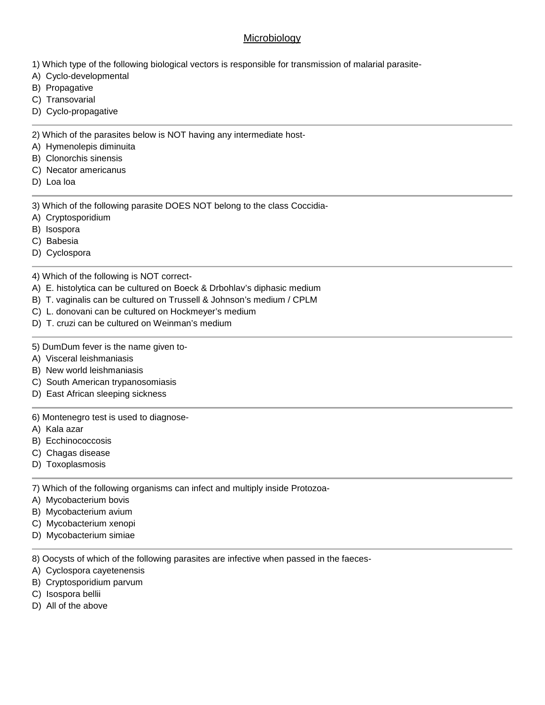## **Microbiology**

- 1) Which type of the following biological vectors is responsible for transmission of malarial parasite-
- A) Cyclo-developmental
- B) Propagative
- C) Transovarial
- D) Cyclo-propagative

2) Which of the parasites below is NOT having any intermediate host-

- A) Hymenolepis diminuita
- B) Clonorchis sinensis
- C) Necator americanus
- D) Loa loa

3) Which of the following parasite DOES NOT belong to the class Coccidia-

- A) Cryptosporidium
- B) Isospora
- C) Babesia
- D) Cyclospora

4) Which of the following is NOT correct-

- A) E. histolytica can be cultured on Boeck & Drbohlav's diphasic medium
- B) T. vaginalis can be cultured on Trussell & Johnson's medium / CPLM
- C) L. donovani can be cultured on Hockmeyer's medium
- D) T. cruzi can be cultured on Weinman's medium
- 5) DumDum fever is the name given to-
- A) Visceral leishmaniasis
- B) New world leishmaniasis
- C) South American trypanosomiasis
- D) East African sleeping sickness

## 6) Montenegro test is used to diagnose-

- A) Kala azar
- B) Ecchinococcosis
- C) Chagas disease
- D) Toxoplasmosis

7) Which of the following organisms can infect and multiply inside Protozoa-

- A) Mycobacterium bovis
- B) Mycobacterium avium
- C) Mycobacterium xenopi
- D) Mycobacterium simiae

8) Oocysts of which of the following parasites are infective when passed in the faeces-

- A) Cyclospora cayetenensis
- B) Cryptosporidium parvum
- C) Isospora bellii
- D) All of the above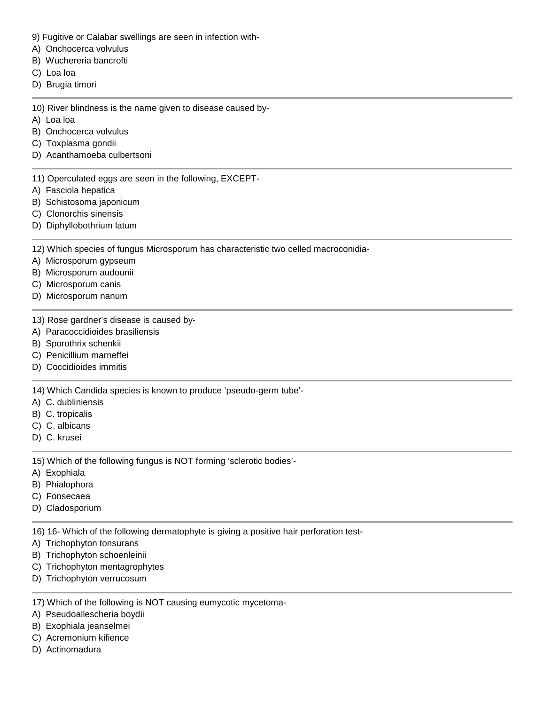- 9) Fugitive or Calabar swellings are seen in infection with-
- A) Onchocerca volvulus
- B) Wuchereria bancrofti
- C) Loa loa
- D) Brugia timori
- 10) River blindness is the name given to disease caused by-
- A) Loa loa
- B) Onchocerca volvulus
- C) Toxplasma gondii
- D) Acanthamoeba culbertsoni
- 11) Operculated eggs are seen in the following, EXCEPT-
- A) Fasciola hepatica
- B) Schistosoma japonicum
- C) Clonorchis sinensis
- D) Diphyllobothrium latum

12) Which species of fungus Microsporum has characteristic two celled macroconidia-

- A) Microsporum gypseum
- B) Microsporum audounii
- C) Microsporum canis
- D) Microsporum nanum
- 13) Rose gardner's disease is caused by-
- A) Paracoccidioides brasiliensis
- B) Sporothrix schenkii
- C) Penicillium marneffei
- D) Coccidioides immitis

14) Which Candida species is known to produce 'pseudo-germ tube'-

- A) C. dubliniensis
- B) C. tropicalis
- C) C. albicans
- D) C. krusei

15) Which of the following fungus is NOT forming 'sclerotic bodies'-

- A) Exophiala
- B) Phialophora
- C) Fonsecaea
- D) Cladosporium

16) 16- Which of the following dermatophyte is giving a positive hair perforation test-

- A) Trichophyton tonsurans
- B) Trichophyton schoenleinii
- C) Trichophyton mentagrophytes
- D) Trichophyton verrucosum

17) Which of the following is NOT causing eumycotic mycetoma-

- A) Pseudoallescheria boydii
- B) Exophiala jeanselmei
- C) Acremonium kifience
- D) Actinomadura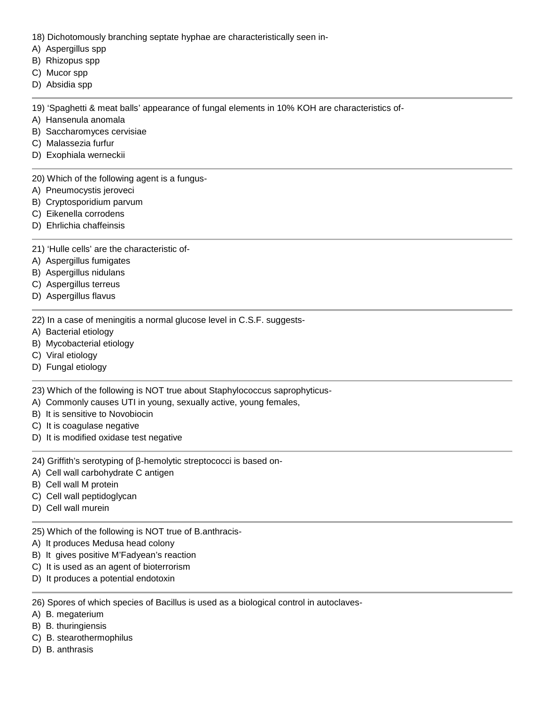- 18) Dichotomously branching septate hyphae are characteristically seen in-
- A) Aspergillus spp
- B) Rhizopus spp
- C) Mucor spp
- D) Absidia spp

19) 'Spaghetti & meat balls' appearance of fungal elements in 10% KOH are characteristics of-

- A) Hansenula anomala
- B) Saccharomyces cervisiae
- C) Malassezia furfur
- D) Exophiala werneckii

20) Which of the following agent is a fungus-

- A) Pneumocystis jeroveci
- B) Cryptosporidium parvum
- C) Eikenella corrodens
- D) Ehrlichia chaffeinsis

21) 'Hulle cells' are the characteristic of-

- A) Aspergillus fumigates
- B) Aspergillus nidulans
- C) Aspergillus terreus
- D) Aspergillus flavus

22) In a case of meningitis a normal glucose level in C.S.F. suggests-

- A) Bacterial etiology
- B) Mycobacterial etiology
- C) Viral etiology
- D) Fungal etiology

23) Which of the following is NOT true about Staphylococcus saprophyticus-

- A) Commonly causes UTI in young, sexually active, young females,
- B) It is sensitive to Novobiocin
- C) It is coagulase negative
- D) It is modified oxidase test negative

24) Griffith's serotyping of -hemolytic streptococci is based on-

- A) Cell wall carbohydrate C antigen
- B) Cell wall M protein
- C) Cell wall peptidoglycan
- D) Cell wall murein

25) Which of the following is NOT true of B.anthracis-

- A) It produces Medusa head colony
- B) It gives positive M'Fadyean's reaction
- C) It is used as an agent of bioterrorism
- D) It produces a potential endotoxin

26) Spores of which species of Bacillus is used as a biological control in autoclaves-

- A) B. megaterium
- B) B. thuringiensis
- C) B. stearothermophilus
- D) B. anthrasis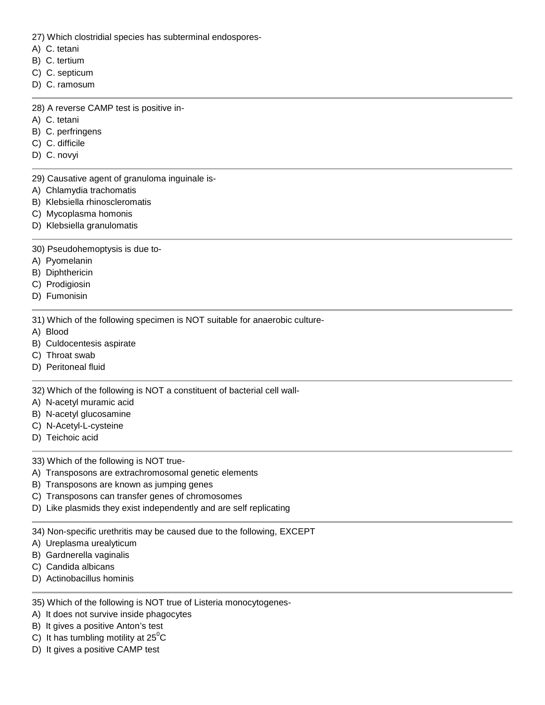27) Which clostridial species has subterminal endospores-

- A) C. tetani
- B) C. tertium
- C) C. septicum
- D) C. ramosum
- 28) A reverse CAMP test is positive in-
- A) C. tetani
- B) C. perfringens
- C) C. difficile
- D) C. novyi
- 29) Causative agent of granuloma inguinale is-
- A) Chlamydia trachomatis
- B) Klebsiella rhinoscleromatis
- C) Mycoplasma homonis
- D) Klebsiella granulomatis
- 30) Pseudohemoptysis is due to-
- A) Pyomelanin
- B) Diphthericin
- C) Prodigiosin
- D) Fumonisin
- 31) Which of the following specimen is NOT suitable for anaerobic culture-
- A) Blood
- B) Culdocentesis aspirate
- C) Throat swab
- D) Peritoneal fluid

32) Which of the following is NOT a constituent of bacterial cell wall-

- A) N-acetyl muramic acid
- B) N-acetyl glucosamine
- C) N-Acetyl-L-cysteine
- D) Teichoic acid
- 33) Which of the following is NOT true-
- A) Transposons are extrachromosomal genetic elements
- B) Transposons are known as jumping genes
- C) Transposons can transfer genes of chromosomes
- D) Like plasmids they exist independently and are self replicating
- 34) Non-specific urethritis may be caused due to the following, EXCEPT
- A) Ureplasma urealyticum
- B) Gardnerella vaginalis
- C) Candida albicans
- D) Actinobacillus hominis

## 35) Which of the following is NOT true of Listeria monocytogenes-

- A) It does not survive inside phagocytes
- B) It gives a positive Anton's test
- C) It has tumbling motility at  $25^{\circ}$ C
- D) It gives a positive CAMP test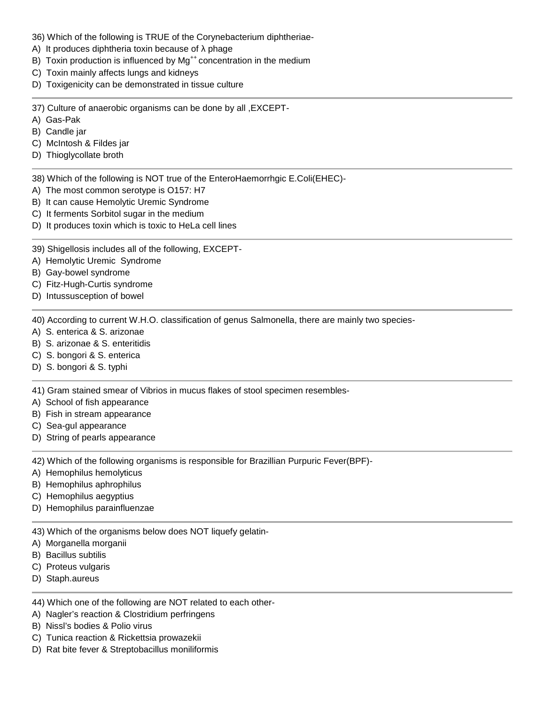- 36) Which of the following is TRUE of the Corynebacterium diphtheriae-
- A) It produces diphtheria toxin because of phage
- B) Toxin production is influenced by  $Mg^{++}$  concentration in the medium
- C) Toxin mainly affects lungs and kidneys
- D) Toxigenicity can be demonstrated in tissue culture

37) Culture of anaerobic organisms can be done by all ,EXCEPT-

- A) Gas-Pak
- B) Candle jar
- C) McIntosh & Fildes jar
- D) Thioglycollate broth

38) Which of the following is NOT true of the EnteroHaemorrhgic E.Coli(EHEC)-

- A) The most common serotype is O157: H7
- B) It can cause Hemolytic Uremic Syndrome
- C) It ferments Sorbitol sugar in the medium
- D) It produces toxin which is toxic to HeLa cell lines

39) Shigellosis includes all of the following, EXCEPT-

- A) Hemolytic Uremic Syndrome
- B) Gay-bowel syndrome
- C) Fitz-Hugh-Curtis syndrome
- D) Intussusception of bowel

40) According to current W.H.O. classification of genus Salmonella, there are mainly two species-

- A) S. enterica & S. arizonae
- B) S. arizonae & S. enteritidis
- C) S. bongori & S. enterica
- D) S. bongori & S. typhi

41) Gram stained smear of Vibrios in mucus flakes of stool specimen resembles-

- A) School of fish appearance
- B) Fish in stream appearance
- C) Sea-gul appearance
- D) String of pearls appearance

42) Which of the following organisms is responsible for Brazillian Purpuric Fever(BPF)-

- A) Hemophilus hemolyticus
- B) Hemophilus aphrophilus
- C) Hemophilus aegyptius
- D) Hemophilus parainfluenzae

43) Which of the organisms below does NOT liquefy gelatin-

- A) Morganella morganii
- B) Bacillus subtilis
- C) Proteus vulgaris
- D) Staph.aureus
- 44) Which one of the following are NOT related to each other-
- A) Nagler's reaction & Clostridium perfringens
- B) Nissl's bodies & Polio virus
- C) Tunica reaction & Rickettsia prowazekii
- D) Rat bite fever & Streptobacillus moniliformis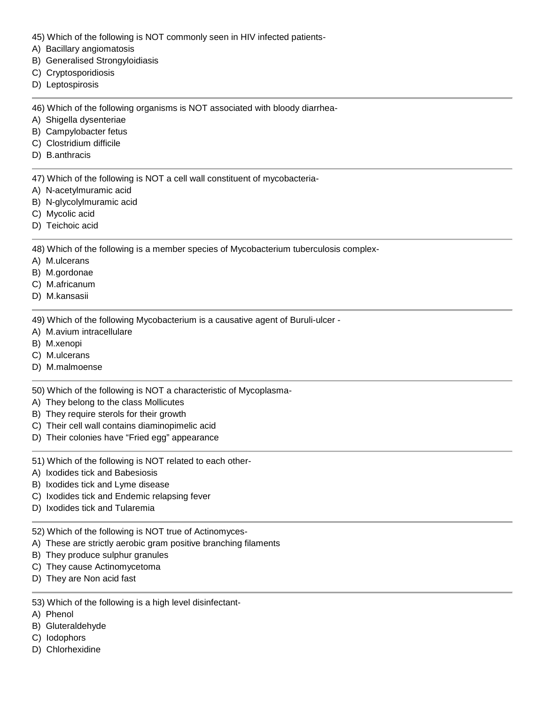- 45) Which of the following is NOT commonly seen in HIV infected patients-
- A) Bacillary angiomatosis
- B) Generalised Strongyloidiasis
- C) Cryptosporidiosis
- D) Leptospirosis

46) Which of the following organisms is NOT associated with bloody diarrhea-

- A) Shigella dysenteriae
- B) Campylobacter fetus
- C) Clostridium difficile
- D) B.anthracis

47) Which of the following is NOT a cell wall constituent of mycobacteria-

- A) N-acetylmuramic acid
- B) N-glycolylmuramic acid
- C) Mycolic acid
- D) Teichoic acid

48) Which of the following is a member species of Mycobacterium tuberculosis complex-

- A) M.ulcerans
- B) M.gordonae
- C) M.africanum
- D) M.kansasii

49) Which of the following Mycobacterium is a causative agent of Buruli-ulcer -

- A) M.avium intracellulare
- B) M.xenopi
- C) M.ulcerans
- D) M.malmoense

50) Which of the following is NOT a characteristic of Mycoplasma-

- A) They belong to the class Mollicutes
- B) They require sterols for their growth
- C) Their cell wall contains diaminopimelic acid
- D) Their colonies have "Fried egg" appearance
- 51) Which of the following is NOT related to each other-
- A) Ixodides tick and Babesiosis
- B) Ixodides tick and Lyme disease
- C) Ixodides tick and Endemic relapsing fever
- D) Ixodides tick and Tularemia
- 52) Which of the following is NOT true of Actinomyces-
- A) These are strictly aerobic gram positive branching filaments
- B) They produce sulphur granules
- C) They cause Actinomycetoma
- D) They are Non acid fast
- 53) Which of the following is a high level disinfectant-
- A) Phenol
- B) Gluteraldehyde
- C) Iodophors
- D) Chlorhexidine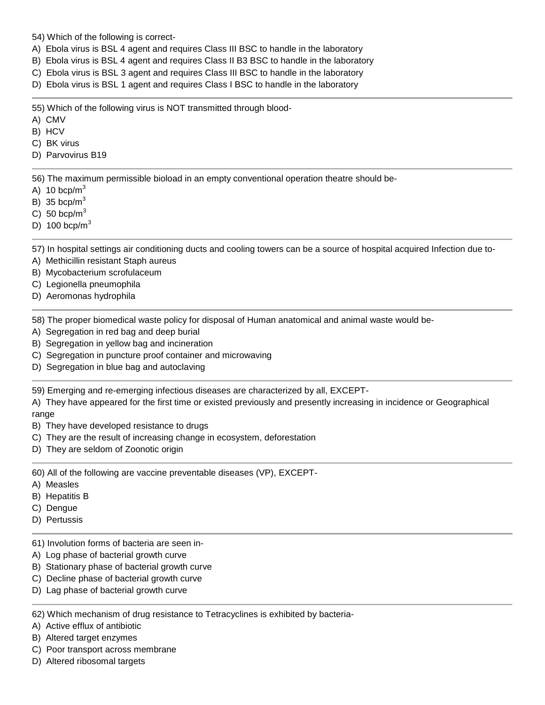54) Which of the following is correct-

- A) Ebola virus is BSL 4 agent and requires Class III BSC to handle in the laboratory
- B) Ebola virus is BSL 4 agent and requires Class II B3 BSC to handle in the laboratory
- C) Ebola virus is BSL 3 agent and requires Class III BSC to handle in the laboratory
- D) Ebola virus is BSL 1 agent and requires Class I BSC to handle in the laboratory

55) Which of the following virus is NOT transmitted through blood-

- A) CMV
- B) HCV
- C) BK virus
- D) Parvovirus B19

56) The maximum permissible bioload in an empty conventional operation theatre should be-

- A) 10 bcp/ $m<sup>3</sup>$
- B) 35 bcp/ $m<sup>3</sup>$
- C) 50 bcp/ $m<sup>3</sup>$
- D) 100 bcp/ $m<sup>3</sup>$

57) In hospital settings air conditioning ducts and cooling towers can be a source of hospital acquired Infection due to-

- A) Methicillin resistant Staph aureus
- B) Mycobacterium scrofulaceum
- C) Legionella pneumophila
- D) Aeromonas hydrophila

58) The proper biomedical waste policy for disposal of Human anatomical and animal waste would be-

- A) Segregation in red bag and deep burial
- B) Segregation in yellow bag and incineration
- C) Segregation in puncture proof container and microwaving
- D) Segregation in blue bag and autoclaving

59) Emerging and re-emerging infectious diseases are characterized by all, EXCEPT-

A) They have appeared for the first time or existed previously and presently increasing in incidence or Geographical range

- B) They have developed resistance to drugs
- C) They are the result of increasing change in ecosystem, deforestation
- D) They are seldom of Zoonotic origin

60) All of the following are vaccine preventable diseases (VP), EXCEPT-

- A) Measles
- B) Hepatitis B
- C) Dengue
- D) Pertussis

61) Involution forms of bacteria are seen in-

- A) Log phase of bacterial growth curve
- B) Stationary phase of bacterial growth curve
- C) Decline phase of bacterial growth curve
- D) Lag phase of bacterial growth curve

62) Which mechanism of drug resistance to Tetracyclines is exhibited by bacteria-

A) Active efflux of antibiotic

B) Altered target enzymes

- C) Poor transport across membrane
- D) Altered ribosomal targets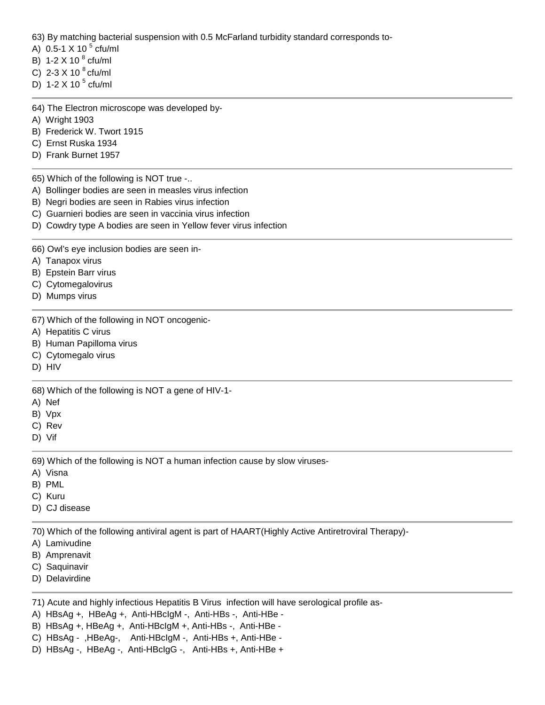63) By matching bacterial suspension with 0.5 McFarland turbidity standard corresponds to-

- A)  $0.5 1 \times 10^{-5}$  cfu/ml
- B) 1-2 X 10 $^{8}$  cfu/ml
- C) 2-3 X 10  $^{8}$  cfu/ml
- D) 1-2 X 10 $<sup>5</sup>$  cfu/ml</sup>
- 64) The Electron microscope was developed by-
- A) Wright 1903
- B) Frederick W. Twort 1915
- C) Ernst Ruska 1934
- D) Frank Burnet 1957

65) Which of the following is NOT true -..

- A) Bollinger bodies are seen in measles virus infection
- B) Negri bodies are seen in Rabies virus infection
- C) Guarnieri bodies are seen in vaccinia virus infection
- D) Cowdry type A bodies are seen in Yellow fever virus infection

66) Owl's eye inclusion bodies are seen in-

- A) Tanapox virus
- B) Epstein Barr virus
- C) Cytomegalovirus
- D) Mumps virus

67) Which of the following in NOT oncogenic-

- A) Hepatitis C virus
- B) Human Papilloma virus
- C) Cytomegalo virus
- D) HIV

68) Which of the following is NOT a gene of HIV-1-

- A) Nef
- B) Vpx
- C) Rev
- D) Vif

69) Which of the following is NOT a human infection cause by slow viruses-

- A) Visna
- B) PML
- C) Kuru
- D) CJ disease

70) Which of the following antiviral agent is part of HAART(Highly Active Antiretroviral Therapy)-

- A) Lamivudine
- B) Amprenavit
- C) Saquinavir
- D) Delavirdine

71) Acute and highly infectious Hepatitis B Virus infection will have serological profile as-

- A) HBsAg +, HBeAg +, Anti-HBcIgM -, Anti-HBs -, Anti-HBe -
- B) HBsAg +, HBeAg +, Anti-HBcIgM +, Anti-HBs -, Anti-HBe -
- C) HBsAg ,HBeAg-, Anti-HBcIgM -, Anti-HBs +, Anti-HBe -
- D) HBsAg -, HBeAg -, Anti-HBcIgG -, Anti-HBs +, Anti-HBe +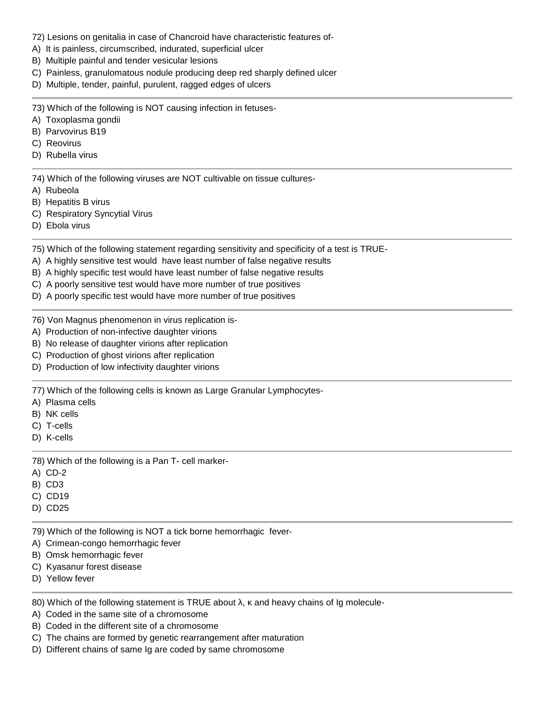- 72) Lesions on genitalia in case of Chancroid have characteristic features of-
- A) It is painless, circumscribed, indurated, superficial ulcer
- B) Multiple painful and tender vesicular lesions
- C) Painless, granulomatous nodule producing deep red sharply defined ulcer
- D) Multiple, tender, painful, purulent, ragged edges of ulcers

73) Which of the following is NOT causing infection in fetuses-

- A) Toxoplasma gondii
- B) Parvovirus B19
- C) Reovirus
- D) Rubella virus

74) Which of the following viruses are NOT cultivable on tissue cultures-

- A) Rubeola
- B) Hepatitis B virus
- C) Respiratory Syncytial Virus
- D) Ebola virus

75) Which of the following statement regarding sensitivity and specificity of a test is TRUE-

- A) A highly sensitive test would have least number of false negative results
- B) A highly specific test would have least number of false negative results
- C) A poorly sensitive test would have more number of true positives
- D) A poorly specific test would have more number of true positives
- 76) Von Magnus phenomenon in virus replication is-
- A) Production of non-infective daughter virions
- B) No release of daughter virions after replication
- C) Production of ghost virions after replication
- D) Production of low infectivity daughter virions

77) Which of the following cells is known as Large Granular Lymphocytes-

- A) Plasma cells
- B) NK cells
- C) T-cells
- D) K-cells

78) Which of the following is a Pan T- cell marker-

- A) CD-2
- B) CD3
- C) CD19
- D) CD25
- 79) Which of the following is NOT a tick borne hemorrhagic fever-
- A) Crimean-congo hemorrhagic fever
- B) Omsk hemorrhagic fever
- C) Kyasanur forest disease
- D) Yellow fever

80) Which of the following statement is TRUE about , and heavy chains of Ig molecule-

- A) Coded in the same site of a chromosome
- B) Coded in the different site of a chromosome
- C) The chains are formed by genetic rearrangement after maturation
- D) Different chains of same Ig are coded by same chromosome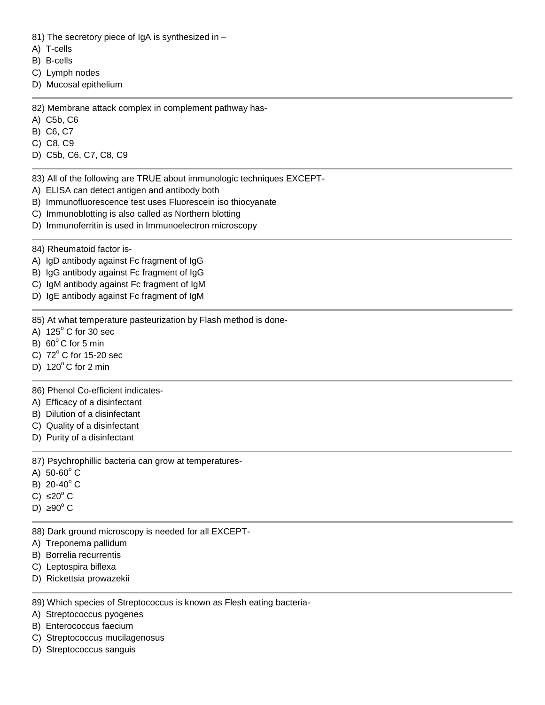81) The secretory piece of IgA is synthesized in -

- A) T-cells
- B) B-cells
- C) Lymph nodes
- D) Mucosal epithelium

82) Membrane attack complex in complement pathway has-

- A) C5b, C6
- B) C6, C7
- C) C8, C9
- D) C5b, C6, C7, C8, C9
- 83) All of the following are TRUE about immunologic techniques EXCEPT-
- A) ELISA can detect antigen and antibody both
- B) Immunofluorescence test uses Fluorescein iso thiocyanate
- C) Immunoblotting is also called as Northern blotting
- D) Immunoferritin is used in Immunoelectron microscopy
- 84) Rheumatoid factor is-
- A) IgD antibody against Fc fragment of IgG
- B) IgG antibody against Fc fragment of IgG
- C) IgM antibody against Fc fragment of IgM
- D) IgE antibody against Fc fragment of IgM

85) At what temperature pasteurization by Flash method is done-

- A)  $125^\circ$  C for 30 sec
- B)  $60^\circ$ C for 5 min
- C)  $72^{\circ}$  C for 15-20 sec
- D)  $120^{\circ}$  C for 2 min

86) Phenol Co-efficient indicates-

- A) Efficacy of a disinfectant
- B) Dilution of a disinfectant
- C) Quality of a disinfectant
- D) Purity of a disinfectant

87) Psychrophillic bacteria can grow at temperatures-

- A)  $50-60^{\circ}$  C
- B)  $20-40^\circ$  C
- $C$ ) 20 $^{\circ}$  C
- D)  $90^\circ$  C

88) Dark ground microscopy is needed for all EXCEPT-

- A) Treponema pallidum
- B) Borrelia recurrentis
- C) Leptospira biflexa
- D) Rickettsia prowazekii

89) Which species of Streptococcus is known as Flesh eating bacteria-

- A) Streptococcus pyogenes
- B) Enterococcus faecium
- C) Streptococcus mucilagenosus
- D) Streptococcus sanguis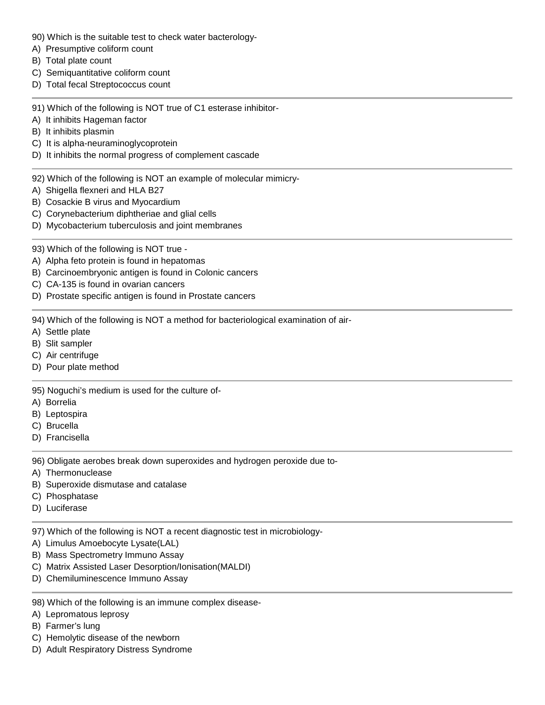- 90) Which is the suitable test to check water bacterology-
- A) Presumptive coliform count
- B) Total plate count
- C) Semiquantitative coliform count
- D) Total fecal Streptococcus count

91) Which of the following is NOT true of C1 esterase inhibitor-

- A) It inhibits Hageman factor
- B) It inhibits plasmin
- C) It is alpha-neuraminoglycoprotein
- D) It inhibits the normal progress of complement cascade
- 92) Which of the following is NOT an example of molecular mimicry-
- A) Shigella flexneri and HLA B27
- B) Cosackie B virus and Myocardium
- C) Corynebacterium diphtheriae and glial cells
- D) Mycobacterium tuberculosis and joint membranes
- 93) Which of the following is NOT true -
- A) Alpha feto protein is found in hepatomas
- B) Carcinoembryonic antigen is found in Colonic cancers
- C) CA-135 is found in ovarian cancers
- D) Prostate specific antigen is found in Prostate cancers

94) Which of the following is NOT a method for bacteriological examination of air-

- A) Settle plate
- B) Slit sampler
- C) Air centrifuge
- D) Pour plate method

95) Noguchi's medium is used for the culture of-

- A) Borrelia
- B) Leptospira
- C) Brucella
- D) Francisella

96) Obligate aerobes break down superoxides and hydrogen peroxide due to-

- A) Thermonuclease
- B) Superoxide dismutase and catalase
- C) Phosphatase
- D) Luciferase

97) Which of the following is NOT a recent diagnostic test in microbiology-

- A) Limulus Amoebocyte Lysate(LAL)
- B) Mass Spectrometry Immuno Assay
- C) Matrix Assisted Laser Desorption/Ionisation(MALDI)
- D) Chemiluminescence Immuno Assay

## 98) Which of the following is an immune complex disease-

- A) Lepromatous leprosy
- B) Farmer's lung
- C) Hemolytic disease of the newborn
- D) Adult Respiratory Distress Syndrome